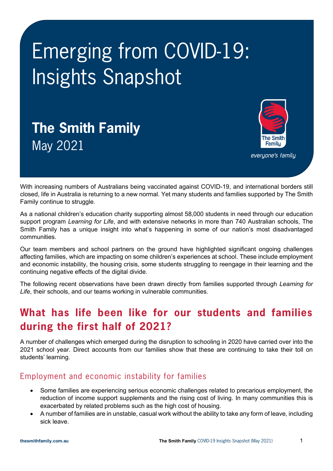# Emerging from COVID-19: Insights Snapshot

# **The Smith Family** May 2021



everyone's family

With increasing numbers of Australians being vaccinated against COVID-19, and international borders still closed, life in Australia is returning to a new normal. Yet many students and families supported by The Smith Family continue to struggle.

As a national children's education charity supporting almost 58,000 students in need through our education support program *Learning for Life*, and with extensive networks in more than 740 Australian schools, The Smith Family has a unique insight into what's happening in some of our nation's most disadvantaged communities.

Our team members and school partners on the ground have highlighted significant ongoing challenges affecting families, which are impacting on some children's experiences at school. These include employment and economic instability, the housing crisis, some students struggling to reengage in their learning and the continuing negative effects of the digital divide.

The following recent observations have been drawn directly from families supported through *Learning for Life*, their schools, and our teams working in vulnerable communities.

### **What has life been like for our students and families during the first half of 2021?**

A number of challenges which emerged during the disruption to schooling in 2020 have carried over into the 2021 school year. Direct accounts from our families show that these are continuing to take their toll on students' learning.

#### Employment and economic instability for families

- Some families are experiencing serious economic challenges related to precarious employment, the reduction of income support supplements and the rising cost of living. In many communities this is exacerbated by related problems such as the high cost of housing.
- A number of families are in unstable, casual work without the ability to take any form of leave, including sick leave.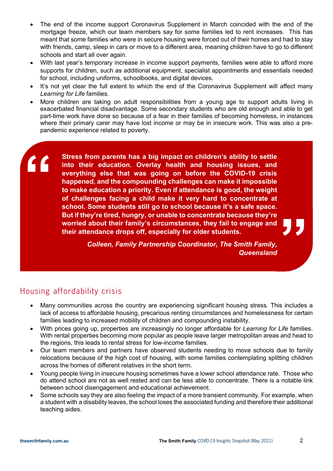- The end of the income support Coronavirus Supplement in March coincided with the end of the mortgage freeze, which our team members say for some families led to rent increases. This has meant that some families who were in secure housing were forced out of their homes and had to stay with friends, camp, sleep in cars or move to a different area, meaning children have to go to different schools and start all over again.
- With last year's temporary increase in income support payments, families were able to afford more supports for children, such as additional equipment, specialist appointments and essentials needed for school, including uniforms, schoolbooks, and digital devices.
- It's not vet clear the full extent to which the end of the Coronavirus Supplement will affect many *Learning for Life* families.
- More children are taking on adult responsibilities from a young age to support adults living in exacerbated financial disadvantage. Some secondary students who are old enough and able to get part-time work have done so because of a fear in their families of becoming homeless, in instances where their primary carer may have lost income or may be in insecure work. This was also a prepandemic experience related to poverty.

**One student in Queensland fell behind because they struggled to keep up**  Stress from parents has a big impact on children's ability to settle into their education. Overlay health and housing issues, and everything else that was going on before the COVID-19 crisis happened, and the compounding challenges can make it impossible **to make education a priority. Even if attendance is good, the weight of challenges facing a child make it very hard to concentrate at school. Some students still go to school because it's a safe space. But if they're tired, hungry, or unable to concentrate because they're worried about their family's circumstances, they fail to engage and their attendance drops off, especially for older students.**

**"** *Colleen, Family Partnership Coordinator, The Smith Family, Queensland*

#### Housing affordability crisis

**"**

- Many communities across the country are experiencing significant housing stress. This includes a lack of access to affordable housing, precarious renting circumstances and homelessness for certain families leading to increased mobility of children and compounding instability.
- With prices going up, properties are increasingly no longer affordable for *Learning for Life* families. With rental properties becoming more popular as people leave larger metropolitan areas and head to the regions, this leads to rental stress for low-income families.
- Our team members and partners have observed students needing to move schools due to family relocations because of the high cost of housing, with some families contemplating splitting children across the homes of different relatives in the short term.
- Young people living in insecure housing sometimes have a lower school attendance rate. Those who do attend school are not as well rested and can be less able to concentrate. There is a notable link between school disengagement and educational achievement.
- Some schools say they are also feeling the impact of a more transient community. For example, when a student with a disability leaves, the school loses the associated funding and therefore their additional teaching aides.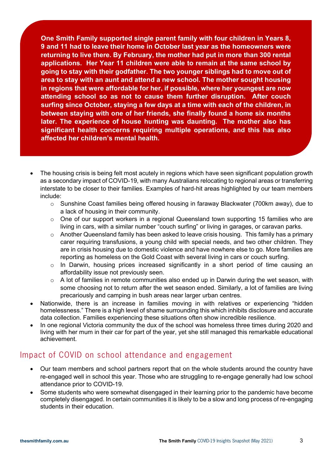**One Smith Family supported single parent family with four children in Years 8, 9 and 11 had to leave their home in October last year as the homeowners were returning to live there. By February, the mother had put in more than 300 rental applications. Her Year 11 children were able to remain at the same school by going to stay with their godfather. The two younger siblings had to move out of area to stay with an aunt and attend a new school. The mother sought housing in regions that were affordable for her, if possible, where her youngest are now attending school so as not to cause them further disruption. After couch surfing since October, staying a few days at a time with each of the children, in between staying with one of her friends, she finally found a home six months later. The experience of house hunting was daunting. The mother also has significant health concerns requiring multiple operations, and this has also affected her children's mental health.** 

- The housing crisis is being felt most acutely in regions which have seen significant population growth as a secondary impact of COVID-19, with many Australians relocating to regional areas or transferring interstate to be closer to their families. Examples of hard-hit areas highlighted by our team members include:
	- $\circ$  Sunshine Coast families being offered housing in faraway Blackwater (700km away), due to a lack of housing in their community.
	- o One of our support workers in a regional Queensland town supporting 15 families who are living in cars, with a similar number "couch surfing" or living in garages, or caravan parks.
	- $\circ$  Another Queensland family has been asked to leave crisis housing. This family has a primary carer requiring transfusions, a young child with special needs, and two other children. They are in crisis housing due to domestic violence and have nowhere else to go. More families are reporting as homeless on the Gold Coast with several living in cars or couch surfing.
	- $\circ$  In Darwin, housing prices increased significantly in a short period of time causing an affordability issue not previously seen.
	- $\circ$  A lot of families in remote communities also ended up in Darwin during the wet season, with some choosing not to return after the wet season ended. Similarly, a lot of families are living precariously and camping in bush areas near larger urban centres.
- Nationwide, there is an increase in families moving in with relatives or experiencing "hidden homelessness." There is a high level of shame surrounding this which inhibits disclosure and accurate data collection. Families experiencing these situations often show incredible resilience.
- In one regional Victoria community the dux of the school was homeless three times during 2020 and living with her mum in their car for part of the year, yet she still managed this remarkable educational achievement.

#### Impact of COVID on school attendance and engagement

- Our team members and school partners report that on the whole students around the country have re-engaged well in school this year. Those who are struggling to re-engage generally had low school attendance prior to COVID-19.
- Some students who were somewhat disengaged in their learning prior to the pandemic have become completely disengaged. In certain communities it is likely to be a slow and long process of re-engaging students in their education.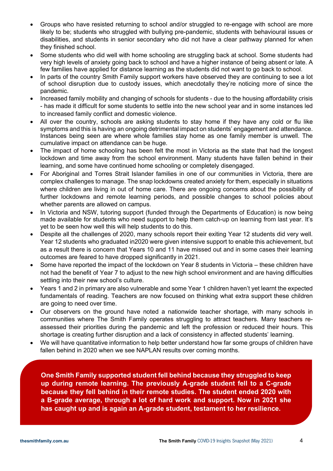- Groups who have resisted returning to school and/or struggled to re-engage with school are more likely to be; students who struggled with bullying pre-pandemic, students with behavioural issues or disabilities, and students in senior secondary who did not have a clear pathway planned for when they finished school.
- Some students who did well with home schooling are struggling back at school. Some students had very high levels of anxiety going back to school and have a higher instance of being absent or late. A few families have applied for distance learning as the students did not want to go back to school.
- In parts of the country Smith Family support workers have observed they are continuing to see a lot of school disruption due to custody issues, which anecdotally they're noticing more of since the pandemic.
- Increased family mobility and changing of schools for students due to the housing affordability crisis - has made it difficult for some students to settle into the new school year and in some instances led to increased family conflict and domestic violence.
- All over the country, schools are asking students to stay home if they have any cold or flu like symptoms and this is having an ongoing detrimental impact on students' engagement and attendance. Instances being seen are where whole families stay home as one family member is unwell. The cumulative impact on attendance can be huge.
- The impact of home schooling has been felt the most in Victoria as the state that had the longest lockdown and time away from the school environment. Many students have fallen behind in their learning, and some have continued home schooling or completely disengaged.
- For Aboriginal and Torres Strait Islander families in one of our communities in Victoria, there are complex challenges to manage. The snap lockdowns created anxiety for them, especially in situations where children are living in out of home care. There are ongoing concerns about the possibility of further lockdowns and remote learning periods, and possible changes to school policies about whether parents are allowed on campus.
- In Victoria and NSW, tutoring support (funded through the Departments of Education) is now being made available for students who need support to help them catch-up on learning from last year. It's yet to be seen how well this will help students to do this.
- Despite all the challenges of 2020, many schools report their exiting Year 12 students did very well. Year 12 students who graduated in2020 were given intensive support to enable this achievement, but as a result there is concern that Years 10 and 11 have missed out and in some cases their learning outcomes are feared to have dropped significantly in 2021.
- Some have reported the impact of the lockdown on Year 8 students in Victoria these children have not had the benefit of Year 7 to adjust to the new high school environment and are having difficulties settling into their new school's culture.
- Years 1 and 2 in primary are also vulnerable and some Year 1 children haven't yet learnt the expected fundamentals of reading. Teachers are now focused on thinking what extra support these children are going to need over time.
- Our observers on the ground have noted a nationwide teacher shortage, with many schools in communities where The Smith Family operates struggling to attract teachers. Many teachers reassessed their priorities during the pandemic and left the profession or reduced their hours. This shortage is creating further disruption and a lack of consistency in affected students' learning.
- We will have quantitative information to help better understand how far some groups of children have fallen behind in 2020 when we see NAPLAN results over coming months.

**One Smith Family supported student fell behind because they struggled to keep up during remote learning. The previously A-grade student fell to a C-grade because they fell behind in their remote studies. The student ended 2020 with a B-grade average, through a lot of hard work and support. Now in 2021 she has caught up and is again an A-grade student, testament to her resilience.**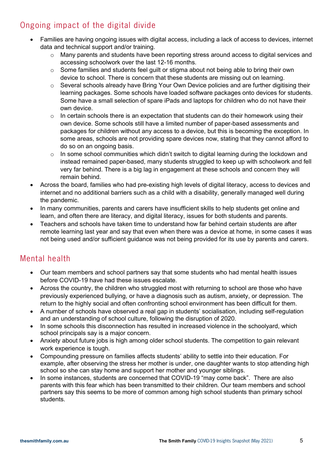#### Ongoing impact of the digital divide

- Families are having ongoing issues with digital access, including a lack of access to devices, internet data and technical support and/or training.
	- $\circ$  Many parents and students have been reporting stress around access to digital services and accessing schoolwork over the last 12-16 months.
	- o Some families and students feel guilt or stigma about not being able to bring their own device to school. There is concern that these students are missing out on learning.
	- o Several schools already have Bring Your Own Device policies and are further digitising their learning packages. Some schools have loaded software packages onto devices for students. Some have a small selection of spare iPads and laptops for children who do not have their own device.
	- $\circ$  In certain schools there is an expectation that students can do their homework using their own device. Some schools still have a limited number of paper-based assessments and packages for children without any access to a device, but this is becoming the exception. In some areas, schools are not providing spare devices now, stating that they cannot afford to do so on an ongoing basis.
	- $\circ$  In some school communities which didn't switch to digital learning during the lockdown and instead remained paper-based, many students struggled to keep up with schoolwork and fell very far behind. There is a big lag in engagement at these schools and concern they will remain behind.
- Across the board, families who had pre-existing high levels of digital literacy, access to devices and internet and no additional barriers such as a child with a disability, generally managed well during the pandemic.
- In many communities, parents and carers have insufficient skills to help students get online and learn, and often there are literacy, and digital literacy, issues for both students and parents.
- Teachers and schools have taken time to understand how far behind certain students are after remote learning last year and say that even when there was a device at home, in some cases it was not being used and/or sufficient guidance was not being provided for its use by parents and carers.

#### Mental health

- Our team members and school partners say that some students who had mental health issues before COVID-19 have had these issues escalate.
- Across the country, the children who struggled most with returning to school are those who have previously experienced bullying, or have a diagnosis such as autism, anxiety, or depression. The return to the highly social and often confronting school environment has been difficult for them.
- A number of schools have observed a real gap in students' socialisation, including self-regulation and an understanding of school culture, following the disruption of 2020.
- In some schools this disconnection has resulted in increased violence in the schoolyard, which school principals say is a major concern.
- Anxiety about future jobs is high among older school students. The competition to gain relevant work experience is tough.
- Compounding pressure on families affects students' ability to settle into their education. For example, after observing the stress her mother is under, one daughter wants to stop attending high school so she can stay home and support her mother and younger siblings.
- In some instances, students are concerned that COVID-19 "may come back". There are also parents with this fear which has been transmitted to their children. Our team members and school partners say this seems to be more of common among high school students than primary school students.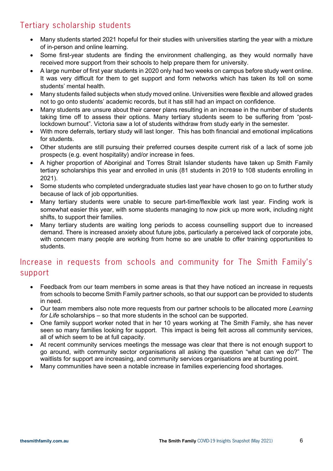#### Tertiary scholarship students

- Many students started 2021 hopeful for their studies with universities starting the year with a mixture of in-person and online learning.
- Some first-year students are finding the environment challenging, as they would normally have received more support from their schools to help prepare them for university.
- A large number of first year students in 2020 only had two weeks on campus before study went online. It was very difficult for them to get support and form networks which has taken its toll on some students' mental health.
- Many students failed subjects when study moved online. Universities were flexible and allowed grades not to go onto students' academic records, but it has still had an impact on confidence.
- Many students are unsure about their career plans resulting in an increase in the number of students taking time off to assess their options. Many tertiary students seem to be suffering from "postlockdown burnout". Victoria saw a lot of students withdraw from study early in the semester.
- With more deferrals, tertiary study will last longer. This has both financial and emotional implications for students.
- Other students are still pursuing their preferred courses despite current risk of a lack of some job prospects (e.g. event hospitality) and/or increase in fees.
- A higher proportion of Aboriginal and Torres Strait Islander students have taken up Smith Family tertiary scholarships this year and enrolled in unis (81 students in 2019 to 108 students enrolling in 2021).
- Some students who completed undergraduate studies last year have chosen to go on to further study because of lack of job opportunities.
- Many tertiary students were unable to secure part-time/flexible work last year. Finding work is somewhat easier this year, with some students managing to now pick up more work, including night shifts, to support their families.
- Many tertiary students are waiting long periods to access counselling support due to increased demand. There is increased anxiety about future jobs, particularly a perceived lack of corporate jobs, with concern many people are working from home so are unable to offer training opportunities to students.

#### Increase in requests from schools and community for The Smith Family's support

- Feedback from our team members in some areas is that they have noticed an increase in requests from schools to become Smith Family partner schools, so that our support can be provided to students in need.
- Our team members also note more requests from our partner schools to be allocated more *Learning for Life* scholarships – so that more students in the school can be supported.
- One family support worker noted that in her 10 years working at The Smith Family, she has never seen so many families looking for support. This impact is being felt across all community services, all of which seem to be at full capacity.
- At recent community services meetings the message was clear that there is not enough support to go around, with community sector organisations all asking the question "what can we do?" The waitlists for support are increasing, and community services organisations are at bursting point.
- Many communities have seen a notable increase in families experiencing food shortages.